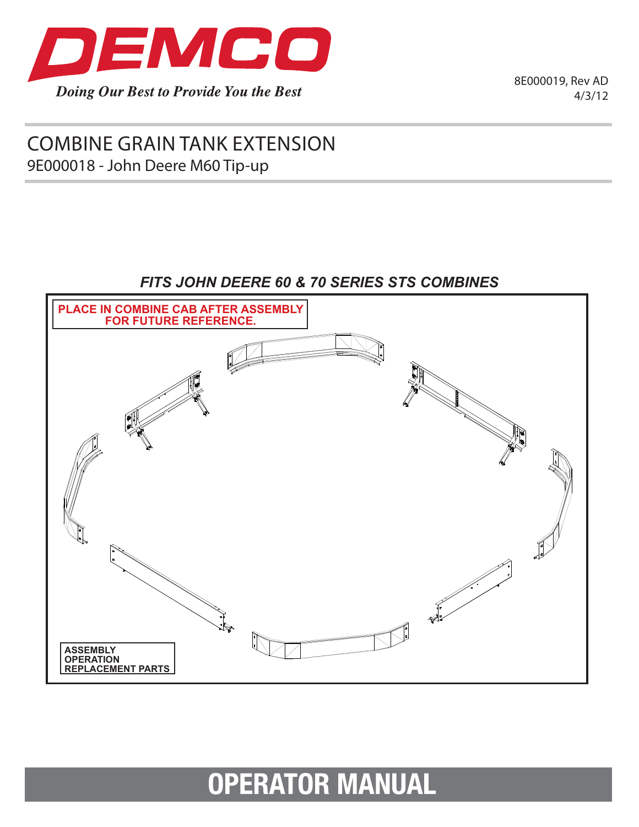

8E000019, Rev AD 4/3/12

# combine grain tank extension 9E000018 - John Deere M60 Tip-up

## *Fits John Deere 60 & 70 Series STS COMBINES*



# **OPERATOR MANUAL**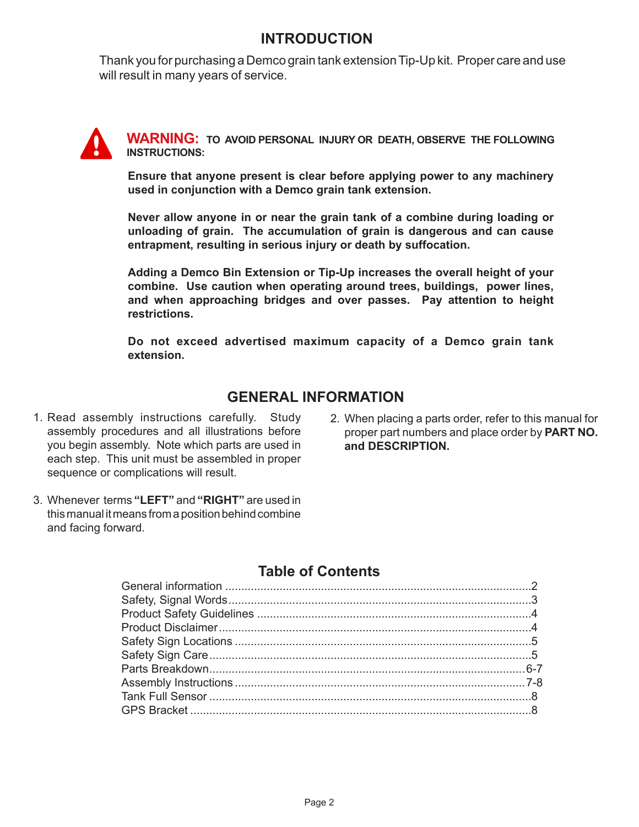## **INTRODUCTION**

Thank you for purchasing a Demco grain tank extension Tip-Up kit. Proper care and use will result in many years of service.

**WARNING: To Avoid Personal Injury or death, Observe the following Instructions:**

**Ensure that anyone present is clear before applying power to any machinery used in conjunction with a Demco grain tank extension.**

**Never allow anyone in or near the grain tank of a combine during loading or unloading of grain. The accumulation of grain is dangerous and can cause entrapment, resulting in serious injury or death by suffocation.**

**Adding a Demco Bin Extension or Tip-Up increases the overall height of your combine. Use caution when operating around trees, buildings, power lines, and when approaching bridges and over passes. Pay attention to height restrictions.**

**Do not exceed advertised maximum capacity of a Demco grain tank extension.**

#### **GENERAL INFORMATION**

- 1. Read assembly instructions carefully. Study assembly procedures and all illustrations before you begin assembly. Note which parts are used in each step. This unit must be assembled in proper sequence or complications will result.
- 2. When placing a parts order, refer to this manual for proper part numbers and place order by **PART NO. and DESCRIPTION.**
- 3. Whenever terms **"LEFT"** and **"RIGHT"** are used in this manual it means from a position behind combine and facing forward.

#### **Table of Contents**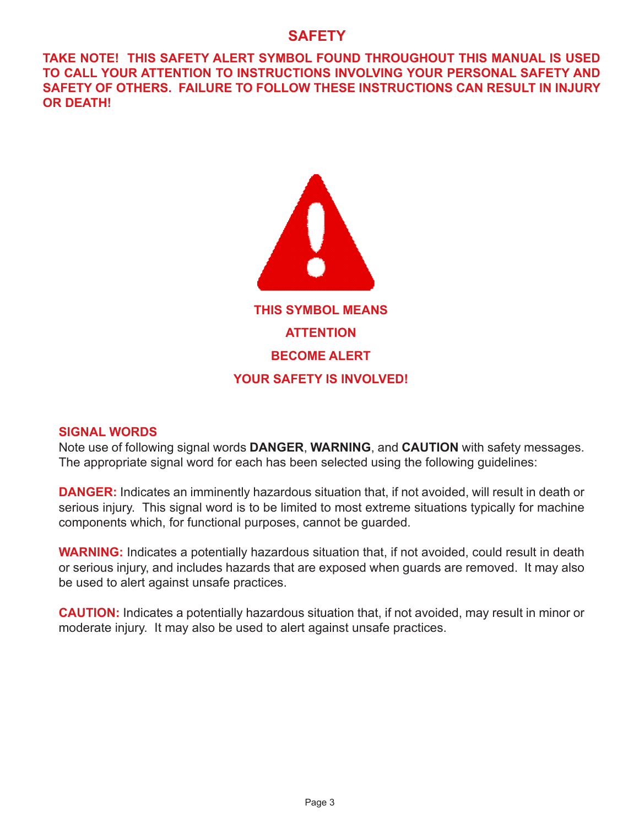#### **SAFETY**

**TAKE NOTE! THIS SAFETY ALERT SYMBOL FOUND THROUGHOUT THIS MANUAL IS USED TO CALL YOUR ATTENTION TO INSTRUCTIONS INVOLVING YOUR PERSONAL SAFETY AND SAFETY OF OTHERS. FAILURE TO FOLLOW THESE INSTRUCTIONS CAN RESULT IN INJURY OR DEATH!**



#### **SIGNAL WORDS**

Note use of following signal words **DANGER**, **WARNING**, and **CAUTION** with safety messages. The appropriate signal word for each has been selected using the following guidelines:

**DANGER:** Indicates an imminently hazardous situation that, if not avoided, will result in death or serious injury. This signal word is to be limited to most extreme situations typically for machine components which, for functional purposes, cannot be guarded.

**WARNING:** Indicates a potentially hazardous situation that, if not avoided, could result in death or serious injury, and includes hazards that are exposed when guards are removed. It may also be used to alert against unsafe practices.

**CAUTION:** Indicates a potentially hazardous situation that, if not avoided, may result in minor or moderate injury. It may also be used to alert against unsafe practices.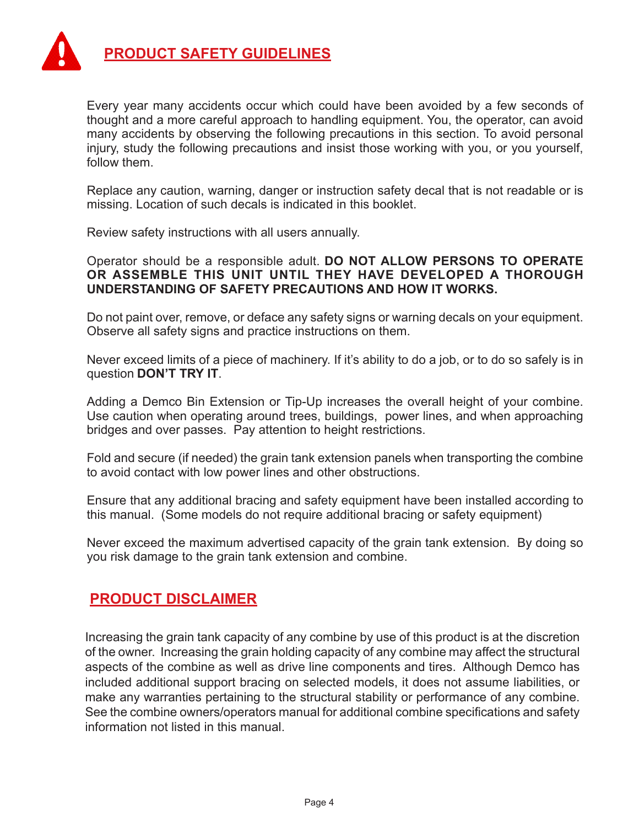

Every year many accidents occur which could have been avoided by a few seconds of thought and a more careful approach to handling equipment. You, the operator, can avoid many accidents by observing the following precautions in this section. To avoid personal injury, study the following precautions and insist those working with you, or you yourself, follow them.

Replace any caution, warning, danger or instruction safety decal that is not readable or is missing. Location of such decals is indicated in this booklet.

Review safety instructions with all users annually.

Operator should be a responsible adult. **Do not allow persons to operate or assemble this unit until they have developed a thorough understanding of safety precautions and how it works.**

Do not paint over, remove, or deface any safety signs or warning decals on your equipment. Observe all safety signs and practice instructions on them.

Never exceed limits of a piece of machinery. If it's ability to do a job, or to do so safely is in question **don't try it**.

Adding a Demco Bin Extension or Tip-Up increases the overall height of your combine. Use caution when operating around trees, buildings, power lines, and when approaching bridges and over passes. Pay attention to height restrictions.

Fold and secure (if needed) the grain tank extension panels when transporting the combine to avoid contact with low power lines and other obstructions.

Ensure that any additional bracing and safety equipment have been installed according to this manual. (Some models do not require additional bracing or safety equipment)

Never exceed the maximum advertised capacity of the grain tank extension. By doing so you risk damage to the grain tank extension and combine.

#### **Product Disclaimer**

Increasing the grain tank capacity of any combine by use of this product is at the discretion of the owner. Increasing the grain holding capacity of any combine may affect the structural aspects of the combine as well as drive line components and tires. Although Demco has included additional support bracing on selected models, it does not assume liabilities, or make any warranties pertaining to the structural stability or performance of any combine. See the combine owners/operators manual for additional combine specifications and safety information not listed in this manual.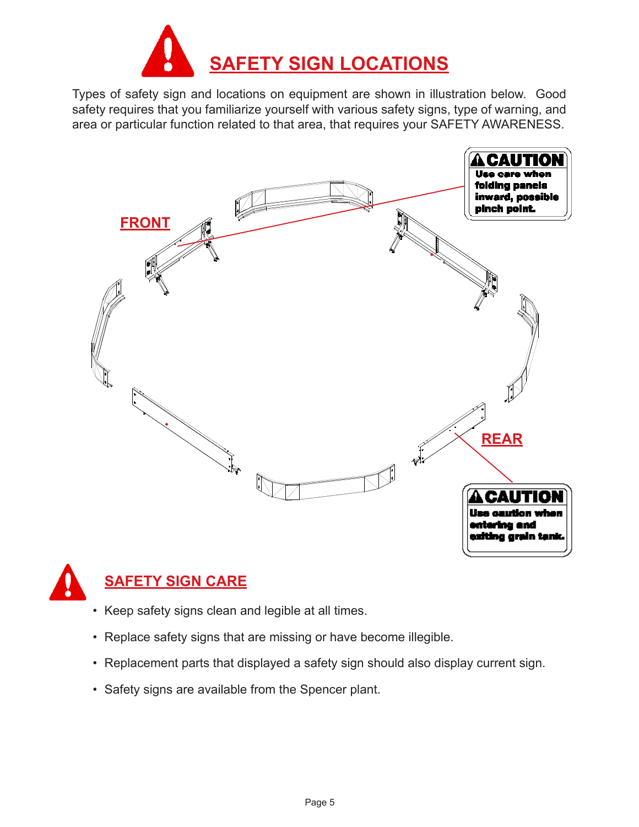

Types of safety sign and locations on equipment are shown in illustration below. Good safety requires that you familiarize yourself with various safety signs, type of warning, and area or particular function related to that area, that requires your SAFETY AWARENESS.





# **Safety sign care**

- Keep safety signs clean and legible at all times.
- Replace safety signs that are missing or have become illegible.
- Replacement parts that displayed a safety sign should also display current sign.
- Safety signs are available from the Spencer plant.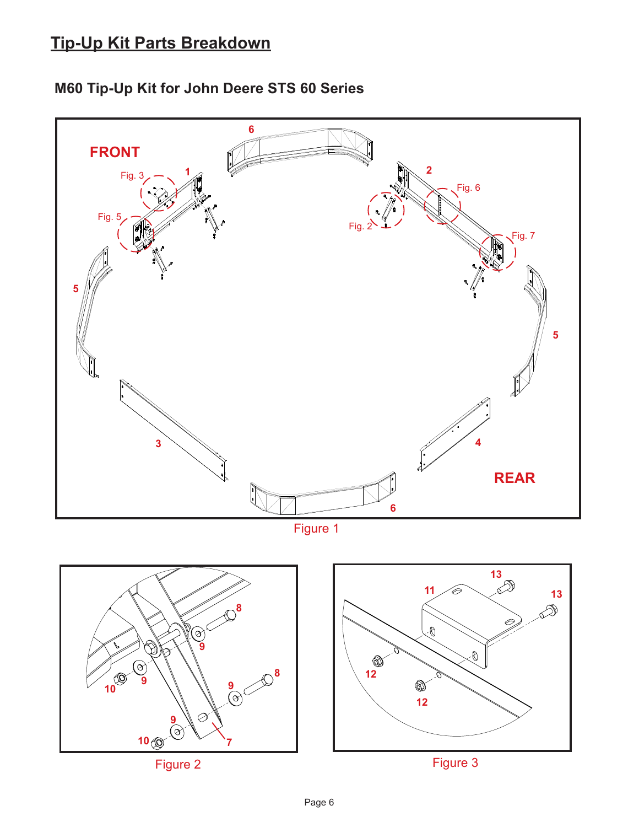# **Tip-Up Kit Parts Breakdown**





Figure 1

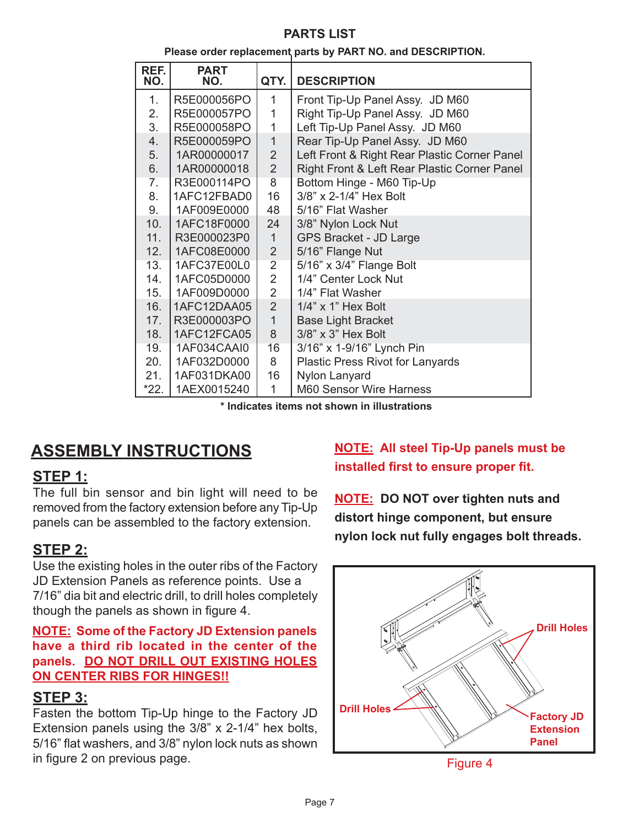#### **parts list**

#### **Please order replacement parts by PART NO. and DESCRIPTION.**

| REF.<br>NO.    | <b>PART</b><br>NO. | QTY.           | <b>DESCRIPTION</b>                           |
|----------------|--------------------|----------------|----------------------------------------------|
| 1 <sub>1</sub> | R5E000056PO        | 1              | Front Tip-Up Panel Assy. JD M60              |
| 2.             | R5E000057PO        | 1              | Right Tip-Up Panel Assy. JD M60              |
| 3.             | R5E000058PO        | 1              | Left Tip-Up Panel Assy. JD M60               |
| 4.             | R5E000059PO        | $\mathbf{1}$   | Rear Tip-Up Panel Assy. JD M60               |
| 5.             | 1AR00000017        | $\overline{2}$ | Left Front & Right Rear Plastic Corner Panel |
| 6.             | 1AR00000018        | $\overline{2}$ | Right Front & Left Rear Plastic Corner Panel |
| 7.             | R3E000114PO        | $\overline{8}$ | Bottom Hinge - M60 Tip-Up                    |
| 8.             | 1AFC12FBAD0        | 16             | 3/8" x 2-1/4" Hex Bolt                       |
| 9.             | 1AF009E0000        | 48             | 5/16" Flat Washer                            |
| 10.            | 1AFC18F0000        | 24             | 3/8" Nylon Lock Nut                          |
| 11.            | R3E000023P0        | $\mathbf{1}$   | GPS Bracket - JD Large                       |
| 12.            | 1AFC08E0000        | $\overline{2}$ | 5/16" Flange Nut                             |
| 13.            | 1AFC37E00L0        | $\overline{2}$ | 5/16" x 3/4" Flange Bolt                     |
| 14.            | 1AFC05D0000        | $\overline{2}$ | 1/4" Center Lock Nut                         |
| 15.            | 1AF009D0000        | $\overline{2}$ | 1/4" Flat Washer                             |
| 16.            | 1AFC12DAA05        | $\overline{2}$ | 1/4" x 1" Hex Bolt                           |
| 17.            | R3E000003PO        | $\mathbf{1}$   | <b>Base Light Bracket</b>                    |
| 18.            | 1AFC12FCA05        | 8              | $3/8$ " x $3$ " Hex Bolt                     |
| 19.            | 1AF034CAAI0        | 16             | 3/16" x 1-9/16" Lynch Pin                    |
| 20.            | 1AF032D0000        | 8              | <b>Plastic Press Rivot for Lanyards</b>      |
| 21.            | 1AF031DKA00        | 16             | Nylon Lanyard                                |
| $*22.$         | 1AEX0015240        | 1              | M60 Sensor Wire Harness                      |

**\* Indicates items not shown in illustrations**

# **ASSEMBLY INSTRUCTIONS**

#### **Step 1:**

The full bin sensor and bin light will need to be removed from the factory extension before any Tip-Up panels can be assembled to the factory extension.

#### **Step 2:**

Use the existing holes in the outer ribs of the Factory JD Extension Panels as reference points. Use a 7/16" dia bit and electric drill, to drill holes completely though the panels as shown in figure 4.

**NOTE: Some of the Factory JD Extension panels have a third rib located in the center of the panels. DO NOT DRILL OUT EXISTING HOLES ON CENTER RIBS FOR HINGES!!**

#### **Step 3:**

Fasten the bottom Tip-Up hinge to the Factory JD Extension panels using the 3/8" x 2-1/4" hex bolts, 5/16" flat washers, and 3/8" nylon lock nuts as shown in figure 2 on previous page.

## **NOTE: All steel Tip-Up panels must be installed first to ensure proper fit.**

**NOTE: DO NOT over tighten nuts and distort hinge component, but ensure nylon lock nut fully engages bolt threads.**